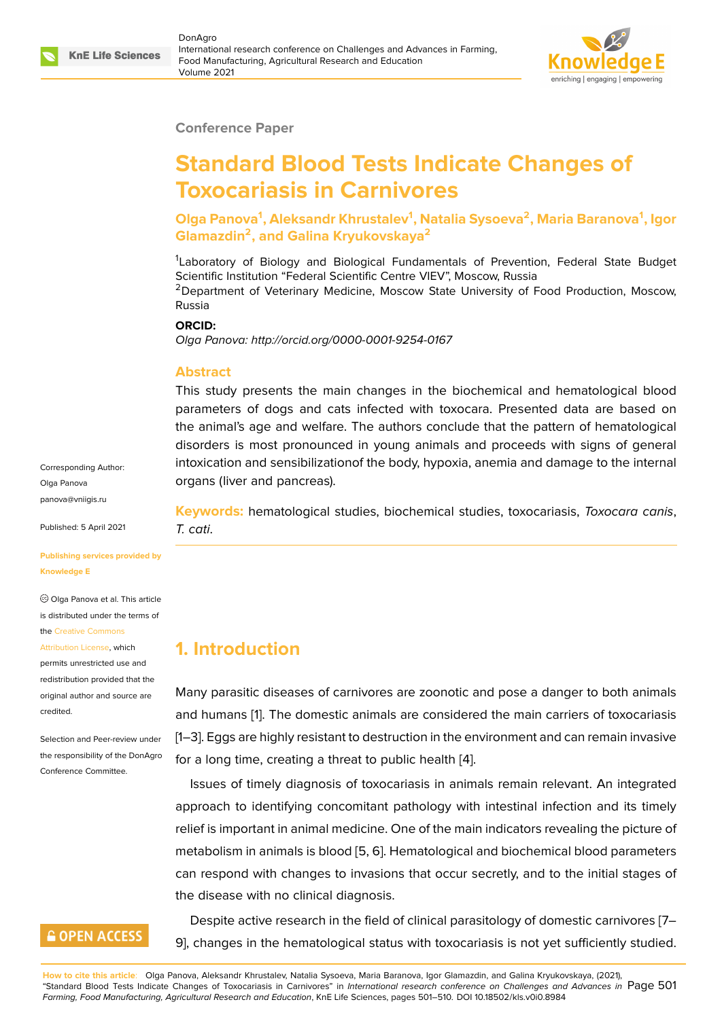

#### **Conference Paper**

# **Standard Blood Tests Indicate Changes of Toxocariasis in Carnivores**

**Olga Panova<sup>1</sup> , Aleksandr Khrustalev<sup>1</sup> , Natalia Sysoeva<sup>2</sup> , Maria Baranova<sup>1</sup> , Igor Glamazdin<sup>2</sup> , and Galina Kryukovskaya<sup>2</sup>**

<sup>1</sup>Laboratory of Biology and Biological Fundamentals of Prevention, Federal State Budget Scientific Institution "Federal Scientific Centre VIEV", Moscow, Russia

<sup>2</sup>Department of Veterinary Medicine, Moscow State University of Food Production, Moscow, Russia

#### **ORCID:**

*Olga Panova: http://orcid.org/0000-0001-9254-0167*

#### **Abstract**

This study presents the main changes in the biochemical and hematological blood parameters of dogs and cats infected with toxocara. Presented data are based on the animal's age and welfare. The authors conclude that the pattern of hematological disorders is most pronounced in young animals and proceeds with signs of general intoxication and sensibilizationof the body, hypoxia, anemia and damage to the internal organs (liver and pancreas).

**Keywords:** hematological studies, biochemical studies, toxocariasis, *Toxocara canis*, *T. cati*.

# Olga Panova et al. This article

is distributed under the terms of the Creative Commons

Attribution License, which

permits unrestricted use and redistribution provided that the orig[inal author and sou](https://creativecommons.org/licenses/by/4.0/)rce are [credited.](https://creativecommons.org/licenses/by/4.0/)

Selection and Peer-review under the responsibility of the DonAgro Conference Committee.

## **GOPEN ACCESS**

**1. Introduction**

Many parasitic diseases of carnivores are zoonotic and pose a danger to both animals and humans [1]. The domestic animals are considered the main carriers of toxocariasis [1–3]. Eggs are highly resistant to destruction in the environment and can remain invasive for a long time, creating a threat to public health [4].

Issues of ti[m](#page-8-0)ely diagnosis of toxocariasis in animals remain relevant. An integrated approach to identifying concomitant pathology with intestinal infection and its timely relief is important in animal medicine. One of the [ma](#page-8-1)in indicators revealing the picture of metabolism in animals is blood [5, 6]. Hematological and biochemical blood parameters can respond with changes to invasions that occur secretly, and to the initial stages of the disease with no clinical diagnosis.

Despite active research in th[e f](#page-8-2)i[el](#page-8-3)d of clinical parasitology of domestic carnivores [7– 9], changes in the hematological status with toxocariasis is not yet sufficiently studied.

**How to cite this article**: Olga Panova, Aleksandr Khrustalev, Natalia Sysoeva, Maria Baranova, Igor Glamazdin, and Galina Kryukovskaya, (2021), "Standard Blood Tests Indicate Changes of Toxocariasis in Carnivores" in *International research conference on Challenges and Advances in* Page 501 *Farming, Food Manufacturing, Agricultural Research and Education*, KnE Life Sciences, pages 501–510. DOI 10.18502/kls.v0i0.8984

Olga Panova panova@vniigis.ru

Corresponding Author:

Published: 5 April 2021

#### **[Publishing service](mailto:panova@vniigis.ru)s provided by Knowledge E**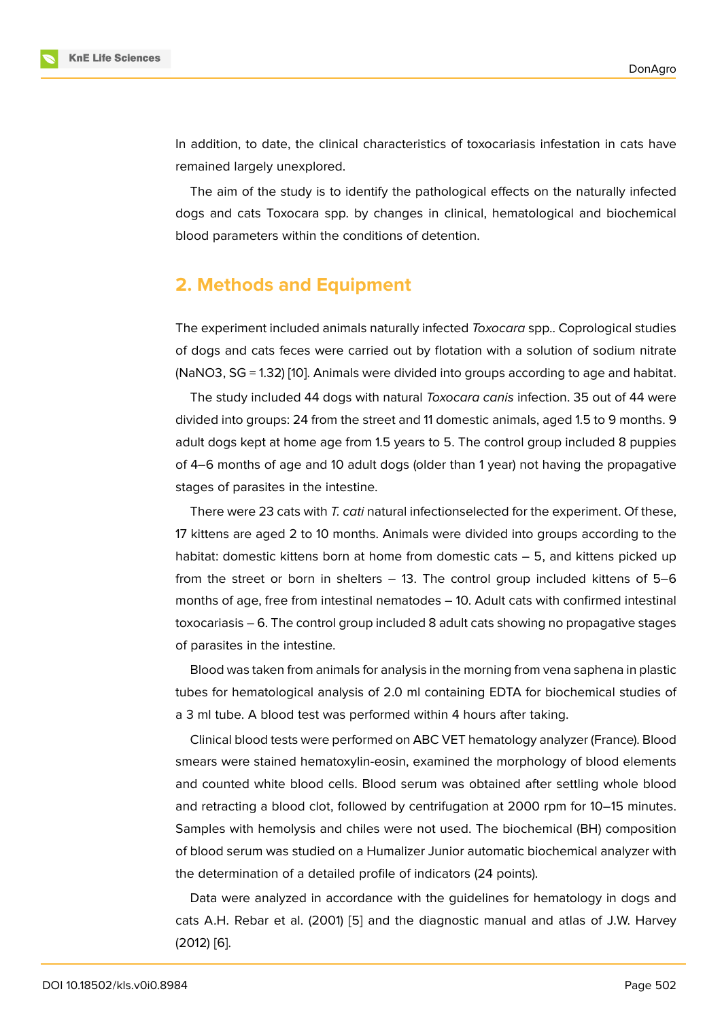In addition, to date, the clinical characteristics of toxocariasis infestation in cats have remained largely unexplored.

The aim of the study is to identify the pathological effects on the naturally infected dogs and cats Toxocara spp. by changes in clinical, hematological and biochemical blood parameters within the conditions of detention.

# **2. Methods and Equipment**

The experiment included animals naturally infected *Toxocara* spp.. Coprological studies of dogs and cats feces were carried out by flotation with a solution of sodium nitrate (NaNO3, SG = 1.32) [10]. Animals were divided into groups according to age and habitat.

The study included 44 dogs with natural *Toxocara canis* infection. 35 out of 44 were divided into groups: 24 from the street and 11 domestic animals, aged 1.5 to 9 months. 9 adult dogs kept at [hom](#page-8-4)e age from 1.5 years to 5. The control group included 8 puppies of 4–6 months of age and 10 adult dogs (older than 1 year) not having the propagative stages of parasites in the intestine.

There were 23 cats with *T. cati* natural infectionselected for the experiment. Of these, 17 kittens are aged 2 to 10 months. Animals were divided into groups according to the habitat: domestic kittens born at home from domestic cats – 5, and kittens picked up from the street or born in shelters – 13. The control group included kittens of 5–6 months of age, free from intestinal nematodes – 10. Adult cats with confirmed intestinal toxocariasis – 6. The control group included 8 adult cats showing no propagative stages of parasites in the intestine.

Blood was taken from animals for analysis in the morning from vena saphena in plastic tubes for hematological analysis of 2.0 ml containing EDTA for biochemical studies of a 3 ml tube. A blood test was performed within 4 hours after taking.

Clinical blood tests were performed on ABC VET hematology analyzer (France). Blood smears were stained hematoxylin-eosin, examined the morphology of blood elements and counted white blood cells. Blood serum was obtained after settling whole blood and retracting a blood clot, followed by centrifugation at 2000 rpm for 10–15 minutes. Samples with hemolysis and chiles were not used. The biochemical (BH) composition of blood serum was studied on a Humalizer Junior automatic biochemical analyzer with the determination of a detailed profile of indicators (24 points).

Data were analyzed in accordance with the guidelines for hematology in dogs and cats A.H. Rebar et al. (2001) [5] and the diagnostic manual and atlas of J.W. Harvey (2012) [6].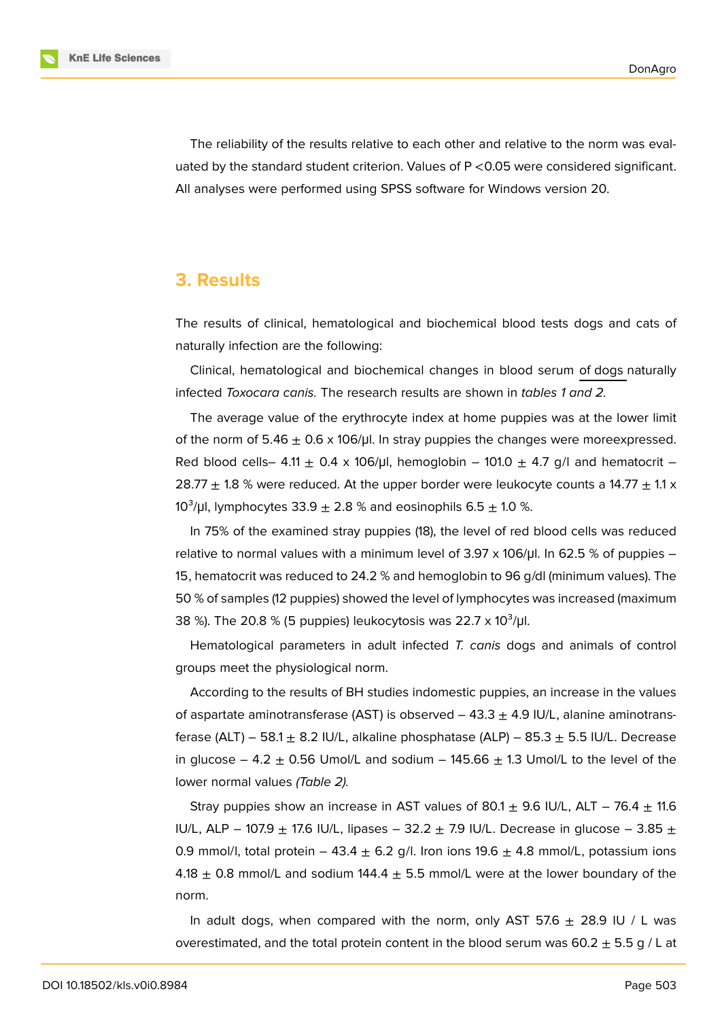The reliability of the results relative to each other and relative to the norm was evaluated by the standard student criterion. Values of P <0.05 were considered significant. All analyses were performed using SPSS software for Windows version 20.

## **3. Results**

The results of clinical, hematological and biochemical blood tests dogs and cats of naturally infection are the following:

Clinical, hematological and biochemical changes in blood serum of dogs naturally infected *Toxocara canis.* The research results are shown in *tables 1 and 2.*

The average value of the erythrocyte index at home puppies was at the lower limit of the norm of  $5.46 \pm 0.6 \times 106$  J. In stray puppies the changes were more expressed. Red blood cells– 4.11  $\pm$  0.4 x 106/µl, hemoglobin – 101.0  $\pm$  4.7 g/l and hematocrit – 28.77  $\pm$  1.8 % were reduced. At the upper border were leukocyte counts a 14.77  $\pm$  1.1 x 10<sup>3</sup>/μl, lymphocytes 33.9  $\pm$  2.8 % and eosinophils 6.5  $\pm$  1.0 %.

In 75% of the examined stray puppies (18), the level of red blood cells was reduced relative to normal values with a minimum level of  $3.97 \times 106 / \text{µ}$ . In 62.5 % of puppies – 15, hematocrit was reduced to 24.2 % and hemoglobin to 96 g/dl (minimum values). The 50 % of samples (12 puppies) showed the level of lymphocytes was increased (maximum 38 %). The 20.8 % (5 puppies) leukocytosis was 22.7 x 10<sup>3</sup>/µl.

Hematological parameters in adult infected *T. canis* dogs and animals of control groups meet the physiological norm.

According to the results of BH studies indomestic puppies, an increase in the values of aspartate aminotransferase (AST) is observed  $-$  43.3  $\pm$  4.9 IU/L, alanine aminotransferase (ALT) – 58.1  $\pm$  8.2 IU/L, alkaline phosphatase (ALP) – 85.3  $\pm$  5.5 IU/L. Decrease in glucose – 4.2  $\pm$  0.56 Umol/L and sodium – 145.66  $\pm$  1.3 Umol/L to the level of the lower normal values *(Table 2).*

Stray puppies show an increase in AST values of 80.1  $\pm$  9.6 IU/L, ALT – 76.4  $\pm$  11.6 IU/L, ALP – 107.9  $\pm$  17.6 IU/L, lipases – 32.2  $\pm$  7.9 IU/L. Decrease in glucose – 3.85  $\pm$ 0.9 mmol/l, total protein – 43.4  $\pm$  6.2 g/l. Iron ions 19.6  $\pm$  4.8 mmol/L, potassium ions 4.18  $\pm$  0.8 mmol/L and sodium 144.4  $\pm$  5.5 mmol/L were at the lower boundary of the norm.

In adult dogs, when compared with the norm, only AST 57.6  $\pm$  28.9 IU / L was overestimated, and the total protein content in the blood serum was 60.2  $\pm$  5.5 g / L at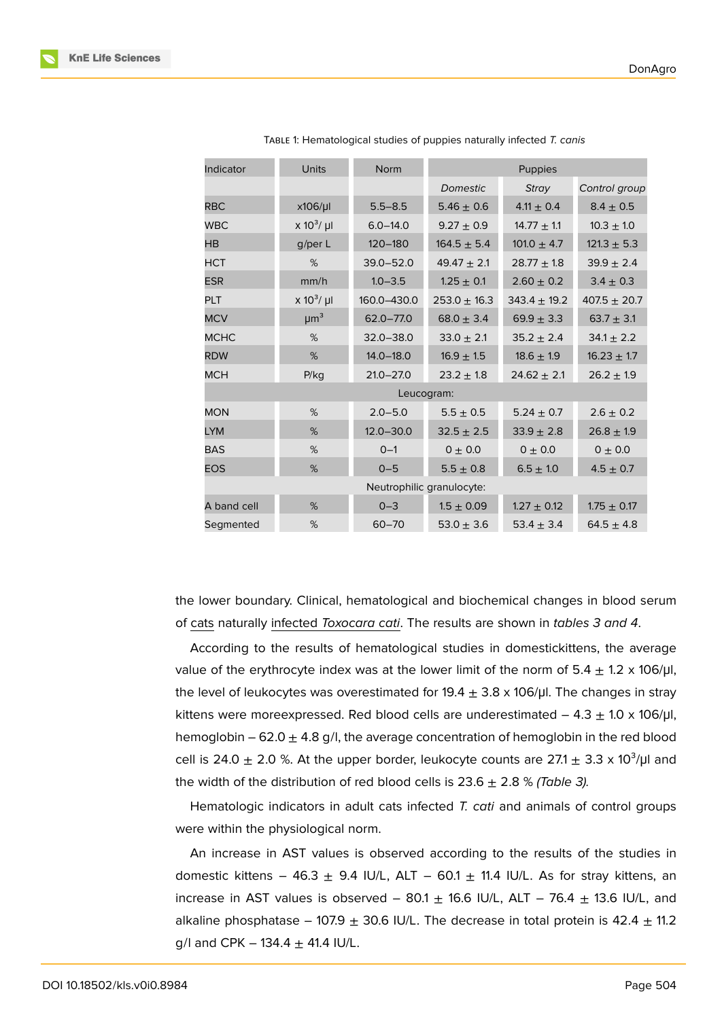| Indicator                 | Units           | <b>Norm</b>   | Puppies          |                  |                  |  |  |  |
|---------------------------|-----------------|---------------|------------------|------------------|------------------|--|--|--|
|                           |                 |               | Domestic         | <b>Stray</b>     | Control group    |  |  |  |
| <b>RBC</b>                | x106/µl         | $5.5 - 8.5$   | $5.46 \pm 0.6$   | $4.11 \pm 0.4$   | $8.4 \pm 0.5$    |  |  |  |
| <b>WBC</b>                | $x 10^3$ / µl   | $6.0 - 14.0$  | $9.27 \pm 0.9$   | $14.77 \pm 1.1$  | $10.3 \pm 1.0$   |  |  |  |
| HB                        | g/per L         | $120 - 180$   | $164.5 \pm 5.4$  | 101.0 $\pm$ 4.7  | $121.3 \pm 5.3$  |  |  |  |
| <b>HCT</b>                | %               | $39.0 - 52.0$ | $49.47 \pm 2.1$  | $28.77 \pm 1.8$  | $39.9 \pm 2.4$   |  |  |  |
| <b>ESR</b>                | mm/h            | $1.0 - 3.5$   | $1.25 \pm 0.1$   | $2.60 \pm 0.2$   | $3.4 \pm 0.3$    |  |  |  |
| <b>PLT</b>                | $x 10^3$ / µl   | 160.0-430.0   | $253.0 \pm 16.3$ | $343.4 \pm 19.2$ | $407.5 \pm 20.7$ |  |  |  |
| <b>MCV</b>                | µm <sup>3</sup> | $62.0 - 77.0$ | $68.0 \pm 3.4$   | $69.9 \pm 3.3$   | $63.7 \pm 3.1$   |  |  |  |
| <b>MCHC</b>               | %               | $32.0 - 38.0$ | $33.0 \pm 2.1$   | $35.2 \pm 2.4$   | $34.1 \pm 2.2$   |  |  |  |
| <b>RDW</b>                | %               | $14.0 - 18.0$ | $16.9 \pm 1.5$   | $18.6 \pm 1.9$   | $16.23 \pm 1.7$  |  |  |  |
| <b>MCH</b>                | P/kg            | $21.0 - 27.0$ | $23.2 \pm 1.8$   | $24.62 \pm 2.1$  | $26.2 \pm 1.9$   |  |  |  |
| Leucogram:                |                 |               |                  |                  |                  |  |  |  |
| <b>MON</b>                | %               | $2.0 - 5.0$   | $5.5 \pm 0.5$    | $5.24 \pm 0.7$   | $2.6 \pm 0.2$    |  |  |  |
| <b>LYM</b>                | %               | $12.0 - 30.0$ | $32.5 \pm 2.5$   | $33.9 \pm 2.8$   | $26.8 \pm 1.9$   |  |  |  |
| <b>BAS</b>                | %               | $0 - 1$       | $0 \pm 0.0$      | $0 \pm 0.0$      | $0 \pm 0.0$      |  |  |  |
| <b>EOS</b>                | %               | $0 - 5$       | $5.5 \pm 0.8$    | $6.5 \pm 1.0$    | $4.5 \pm 0.7$    |  |  |  |
| Neutrophilic granulocyte: |                 |               |                  |                  |                  |  |  |  |
| A band cell               | %               | $0 - 3$       | $1.5 \pm 0.09$   | $1.27 \pm 0.12$  | $1.75 \pm 0.17$  |  |  |  |
| Segmented                 | %               | $60 - 70$     | $53.0 \pm 3.6$   | $53.4 \pm 3.4$   | 64.5 $\pm$ 4.8   |  |  |  |

TABLE 1: Hematological studies of puppies naturally infected *T. canis*

the lower boundary. Clinical, hematological and biochemical changes in blood serum of cats naturally infected *Toxocara cati*. The results are shown in *tables 3 and 4*.

According to the results of hematological studies in domestickittens, the average value of the erythrocyte index was at the lower limit of the norm of  $5.4 \pm 1.2 \times 106/\mu$ l, the level of leukocytes was overestimated for  $19.4 \pm 3.8 \times 106$ /μl. The changes in stray kittens were moreexpressed. Red blood cells are underestimated  $-4.3 \pm 1.0 \times 106/\mu$ l, hemoglobin – 62.0  $\pm$  4.8 g/l, the average concentration of hemoglobin in the red blood cell is 24.0  $\pm$  2.0 %. At the upper border, leukocyte counts are 27.1  $\pm$  3.3 x 10<sup>3</sup>/µl and the width of the distribution of red blood cells is  $23.6 \pm 2.8$  % *(Table 3).* 

Hematologic indicators in adult cats infected *T. cati* and animals of control groups were within the physiological norm.

An increase in AST values is observed according to the results of the studies in domestic kittens – 46.3  $\pm$  9.4 IU/L, ALT – 60.1  $\pm$  11.4 IU/L. As for stray kittens, an increase in AST values is observed – 80.1  $\pm$  16.6 IU/L, ALT – 76.4  $\pm$  13.6 IU/L, and alkaline phosphatase – 107.9  $\pm$  30.6 IU/L. The decrease in total protein is 42.4  $\pm$  11.2 g/l and CPK – 134.4  $\pm$  41.4 IU/L.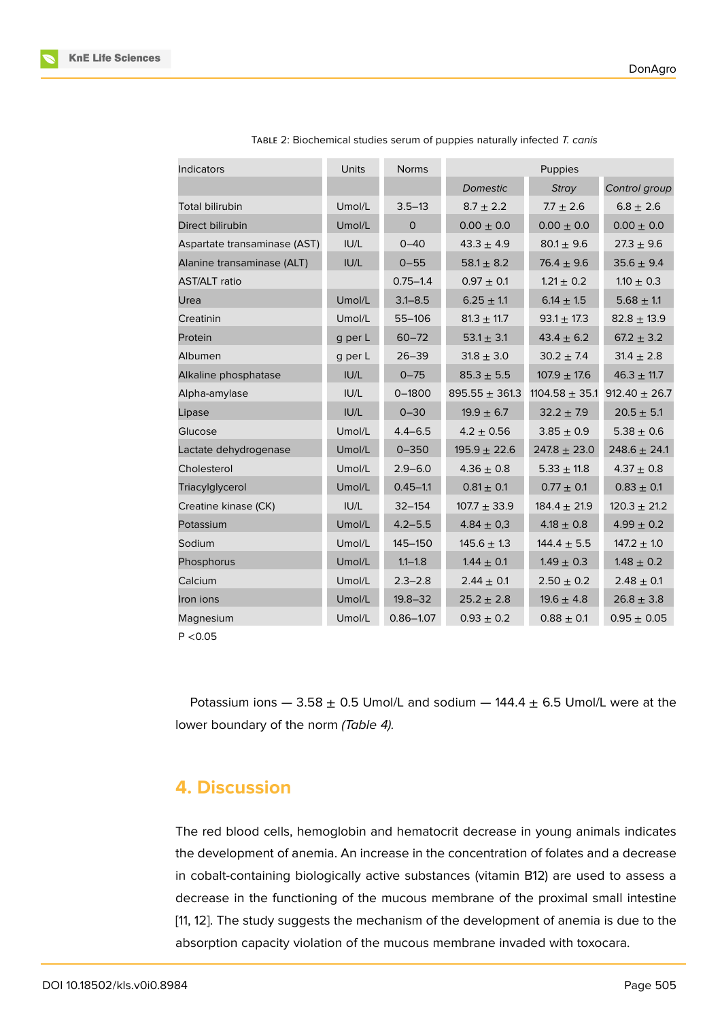| <b>Indicators</b>            | Units   | <b>Norms</b>  | Puppies                            |                    |                   |  |  |
|------------------------------|---------|---------------|------------------------------------|--------------------|-------------------|--|--|
|                              |         |               | <b>Domestic</b>                    | Stray              | Control group     |  |  |
| <b>Total bilirubin</b>       | Umol/L  | $3.5 - 13$    | $8.7 \pm 2.2$                      | $7.7 \pm 2.6$      | $6.8 \pm 2.6$     |  |  |
| Direct bilirubin             | Umol/L  | $\mathbf{O}$  | $0.00 \pm 0.0$                     | $0.00 \pm 0.0$     | $0.00 \pm 0.0$    |  |  |
| Aspartate transaminase (AST) | IUI/L   | $0 - 40$      | $43.3 \pm 4.9$                     | $80.1 \pm 9.6$     | $27.3 \pm 9.6$    |  |  |
| Alanine transaminase (ALT)   | IUI/L   | $0 - 55$      | $58.1 \pm 8.2$                     | 76.4 $\pm$ 9.6     | $35.6 + 9.4$      |  |  |
| <b>AST/ALT</b> ratio         |         | $0.75 - 1.4$  | $0.97 \pm 0.1$                     | $1.21 \pm 0.2$     | $1.10 \pm 0.3$    |  |  |
| Urea                         | Umol/L  | $3.1 - 8.5$   | $6.25 \pm 1.1$                     | $6.14 \pm 1.5$     | $5.68 \pm 1.1$    |  |  |
| Creatinin                    | Umol/L  | 55-106        | $81.3 \pm 11.7$                    | $93.1 \pm 17.3$    | $82.8 \pm 13.9$   |  |  |
| Protein                      | g per L | $60 - 72$     | $53.1 \pm 3.1$                     | $43.4 \pm 6.2$     | $67.2 \pm 3.2$    |  |  |
| Albumen                      | g per L | $26 - 39$     | $31.8 \pm 3.0$                     | $30.2 \pm 7.4$     |                   |  |  |
| Alkaline phosphatase         | IUI/L   | $0 - 75$      | $85.3 \pm 5.5$<br>$107.9 \pm 17.6$ |                    | $46.3 \pm 11.7$   |  |  |
| Alpha-amylase                | IUI/L   | $0 - 1800$    | $895.55 \pm 361.3$                 | 1104.58 $\pm$ 35.1 | $912.40 \pm 26.7$ |  |  |
| Lipase                       | IUI/L   | $0 - 30$      | $19.9 \pm 6.7$                     | $32.2 \pm 7.9$     | $20.5 \pm 5.1$    |  |  |
| Glucose                      | Umol/L  | $4.4 - 6.5$   | $4.2 \pm 0.56$                     | $3.85 \pm 0.9$     | $5.38 \pm 0.6$    |  |  |
| Lactate dehydrogenase        | Umol/L  | $0 - 350$     | $195.9 \pm 22.6$                   | $247.8 \pm 23.0$   | $248.6 \pm 24.1$  |  |  |
| Cholesterol                  | Umol/L  | $2.9 - 6.0$   | $4.36 \pm 0.8$                     | $5.33 \pm 11.8$    | $4.37 \pm 0.8$    |  |  |
| Triacylglycerol              | Umol/L  | $0.45 - 1.1$  | $0.81 \pm 0.1$                     | $0.77 \pm 0.1$     | $0.83 \pm 0.1$    |  |  |
| Creatine kinase (CK)         | IUI/L   | $32 - 154$    | $107.7 \pm 33.9$                   | $184.4 \pm 21.9$   | $120.3 \pm 21.2$  |  |  |
| Potassium                    | Umol/L  | $4.2 - 5.5$   | $4.84 \pm 0.3$                     | $4.18 \pm 0.8$     | $4.99 \pm 0.2$    |  |  |
| Sodium                       | Umol/L  | 145-150       | $145.6 \pm 1.3$                    | $144.4 \pm 5.5$    | $147.2 \pm 1.0$   |  |  |
| Phosphorus                   | Umol/L  | $1.1 - 1.8$   | $1.44 \pm 0.1$                     | $1.49 \pm 0.3$     | $1.48 \pm 0.2$    |  |  |
| Calcium                      | Umol/L  | $2.3 - 2.8$   | $2.44 \pm 0.1$                     | $2.50 \pm 0.2$     | $2.48 \pm 0.1$    |  |  |
| Iron ions                    | Umol/L  | $19.8 - 32$   | $25.2 \pm 2.8$                     | $19.6 \pm 4.8$     | $26.8 \pm 3.8$    |  |  |
| Magnesium                    | Umol/L  | $0.86 - 1.07$ | $0.93 \pm 0.2$                     | $0.88 \pm 0.1$     | $0.95 \pm 0.05$   |  |  |
| P < 0.05                     |         |               |                                    |                    |                   |  |  |

| TABLE 2: Biochemical studies serum of puppies naturally infected T. canis |  |  |  |  |
|---------------------------------------------------------------------------|--|--|--|--|
|                                                                           |  |  |  |  |

Potassium ions  $-3.58 \pm 0.5$  Umol/L and sodium  $-144.4 \pm 6.5$  Umol/L were at the

lower boundary of the norm *(Table 4).*

# **4. Discussion**

The red blood cells, hemoglobin and hematocrit decrease in young animals indicates the development of anemia. An increase in the concentration of folates and a decrease in cobalt-containing biologically active substances (vitamin B12) are used to assess a decrease in the functioning of the mucous membrane of the proximal small intestine [11, 12]. The study suggests the mechanism of the development of anemia is due to the absorption capacity violation of the mucous membrane invaded with toxocara.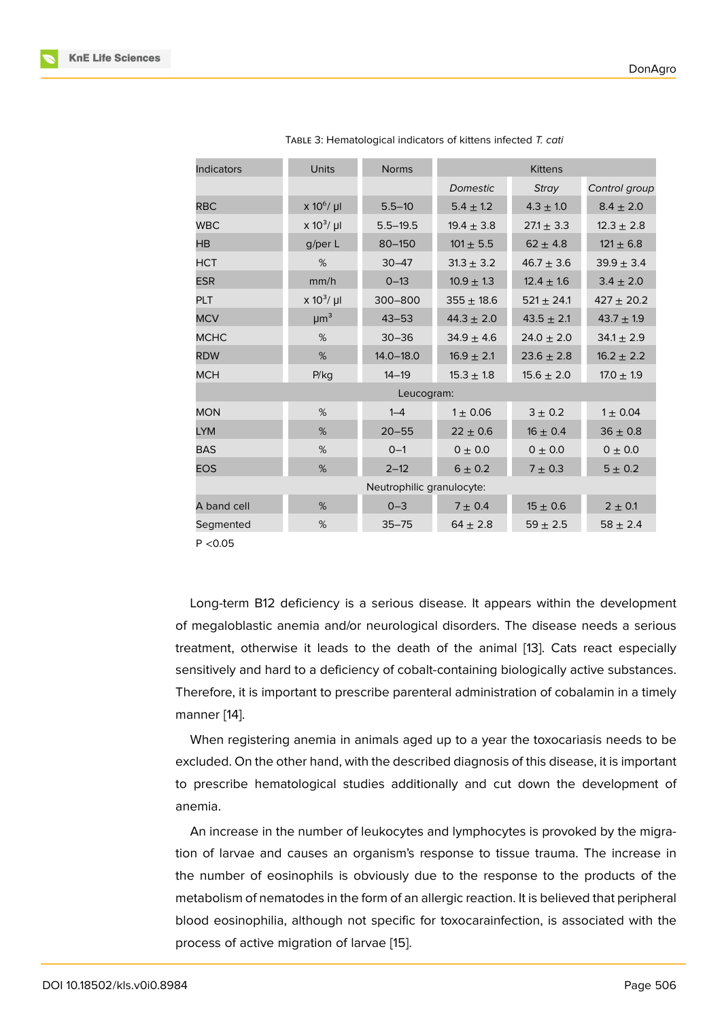| <b>Indicators</b>         | <b>Units</b>  | <b>Norms</b>  | <b>Kittens</b>  |                |                |  |  |  |
|---------------------------|---------------|---------------|-----------------|----------------|----------------|--|--|--|
|                           |               |               | <b>Domestic</b> | Stray          | Control group  |  |  |  |
| <b>RBC</b>                | $x 10^6$ / µl | $5.5 - 10$    | $5.4 \pm 1.2$   | $4.3 \pm 1.0$  | $8.4 \pm 2.0$  |  |  |  |
| <b>WBC</b>                | $x 10^3$ / µl | $5.5 - 19.5$  | $19.4 \pm 3.8$  | $27.1 \pm 3.3$ | $12.3 \pm 2.8$ |  |  |  |
| <b>HB</b>                 | g/per L       | $80 - 150$    | $101 \pm 5.5$   | $62 \pm 4.8$   | $121 \pm 6.8$  |  |  |  |
| <b>HCT</b>                | %             | $30 - 47$     | $31.3 \pm 3.2$  | $46.7 \pm 3.6$ | $39.9 \pm 3.4$ |  |  |  |
| <b>ESR</b>                | mm/h          | $0 - 13$      | $10.9 \pm 1.3$  | $12.4 \pm 1.6$ | $3.4 \pm 2.0$  |  |  |  |
| <b>PLT</b>                | $x 10^3$ / µl | $300 - 800$   | $355 + 18.6$    | $521 + 24.1$   | $427 \pm 20.2$ |  |  |  |
| <b>MCV</b>                | $\mu m^3$     | $43 - 53$     | $44.3 \pm 2.0$  | $43.5 \pm 2.1$ | $43.7 \pm 1.9$ |  |  |  |
| <b>MCHC</b>               | %             | $30 - 36$     | $34.9 \pm 4.6$  | $24.0 \pm 2.0$ | $34.1 \pm 2.9$ |  |  |  |
| <b>RDW</b>                | %             | $14.0 - 18.0$ | $16.9 \pm 2.1$  | $23.6 \pm 2.8$ | $16.2 \pm 2.2$ |  |  |  |
| <b>MCH</b>                | P/kg          | $14 - 19$     | $15.3 \pm 1.8$  | $15.6 + 2.0$   | $17.0 + 1.9$   |  |  |  |
| Leucogram:                |               |               |                 |                |                |  |  |  |
| <b>MON</b>                | %             | $1 - 4$       | $1 \pm 0.06$    | $3 \pm 0.2$    | $1 \pm 0.04$   |  |  |  |
| <b>LYM</b>                | %             | $20 - 55$     | $22 \pm 0.6$    | $16 \pm 0.4$   | $36 \pm 0.8$   |  |  |  |
| <b>BAS</b>                | %             | $0 - 1$       | $0 \pm 0.0$     | $0 \pm 0.0$    | $0 \pm 0.0$    |  |  |  |
| <b>EOS</b>                | %             | $2 - 12$      | $6 \pm 0.2$     | $7 + 0.3$      | $5 \pm 0.2$    |  |  |  |
| Neutrophilic granulocyte: |               |               |                 |                |                |  |  |  |
| A band cell               | %             | $0 - 3$       | $7 + 0.4$       | $15 \pm 0.6$   | $2 \pm 0.1$    |  |  |  |
| Segmented                 | %             | $35 - 75$     | $64 \pm 2.8$    | $59 \pm 2.5$   | $58 \pm 2.4$   |  |  |  |

| TABLE 3: Hematological indicators of kittens infected T. cati |  |  |
|---------------------------------------------------------------|--|--|
|---------------------------------------------------------------|--|--|

 $P < 0.05$ 

Long-term B12 deficiency is a serious disease. It appears within the development of megaloblastic anemia and/or neurological disorders. The disease needs a serious treatment, otherwise it leads to the death of the animal [13]. Cats react especially sensitively and hard to a deficiency of cobalt-containing biologically active substances. Therefore, it is important to prescribe parenteral administration of cobalamin in a timely manner [14].

When registering anemia in animals aged up to a year the toxocariasis needs to be excluded. On the other hand, with the described diagnosis of this disease, it is important to presc[rib](#page-9-0)e hematological studies additionally and cut down the development of anemia.

An increase in the number of leukocytes and lymphocytes is provoked by the migration of larvae and causes an organism's response to tissue trauma. The increase in the number of eosinophils is obviously due to the response to the products of the metabolism of nematodes in the form of an allergic reaction. It is believed that peripheral blood eosinophilia, although not specific for toxocarainfection, is associated with the process of active migration of larvae [15].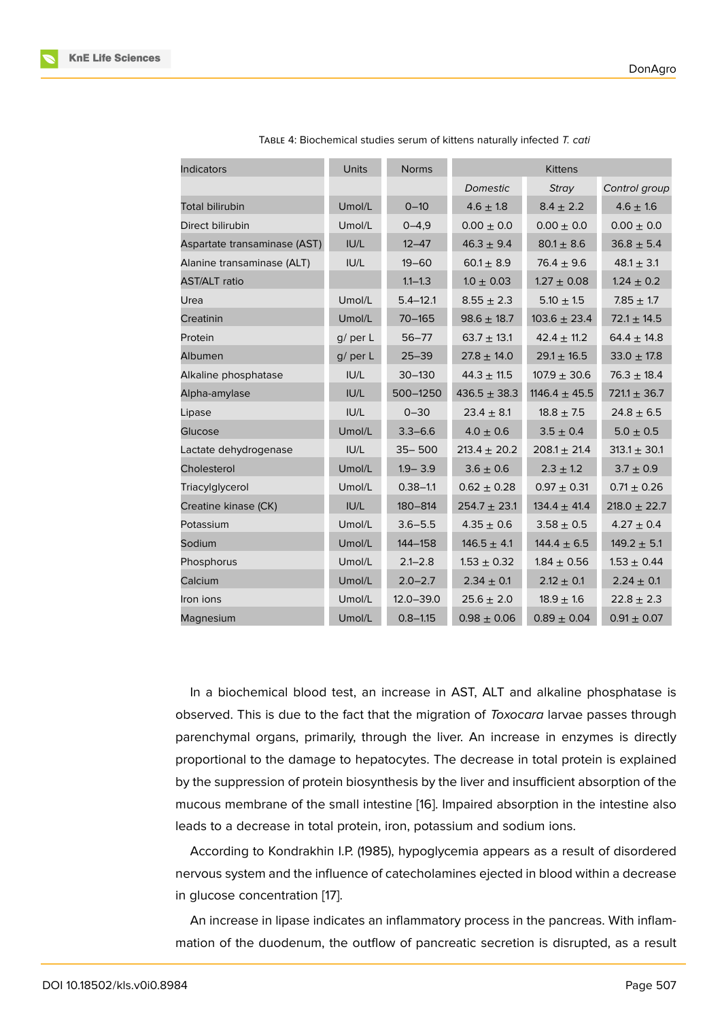| Indicators                   | <b>Units</b> | <b>Norms</b>  | <b>Kittens</b>                   |                   |                  |  |  |
|------------------------------|--------------|---------------|----------------------------------|-------------------|------------------|--|--|
|                              |              |               | <b>Domestic</b>                  | Stray             | Control group    |  |  |
| <b>Total bilirubin</b>       | Umol/L       | $0 - 10$      | $4.6 \pm 1.8$                    | $8.4 \pm 2.2$     | $4.6 \pm 1.6$    |  |  |
| Direct bilirubin             | Umol/L       | $0 - 4,9$     | $0.00 \pm 0.0$<br>$0.00 \pm 0.0$ |                   | $0.00 \pm 0.0$   |  |  |
| Aspartate transaminase (AST) | IU/L         | $12 - 47$     | $46.3 \pm 9.4$                   | $80.1 \pm 8.6$    | $36.8 \pm 5.4$   |  |  |
| Alanine transaminase (ALT)   | IUI/L        | $19 - 60$     | $60.1 \pm 8.9$                   | $76.4 \pm 9.6$    | $48.1 \pm 3.1$   |  |  |
| <b>AST/ALT</b> ratio         |              | $1.1 - 1.3$   | $1.0 \pm 0.03$                   | $1.27 \pm 0.08$   | $1.24 \pm 0.2$   |  |  |
| Urea                         | Umol/L       | $5.4 - 12.1$  | $8.55 \pm 2.3$                   | $5.10 \pm 1.5$    | 7.85 $\pm$ 1.7   |  |  |
| Creatinin                    | Umol/L       | $70 - 165$    | $98.6 \pm 18.7$                  | $103.6 \pm 23.4$  | $72.1 \pm 14.5$  |  |  |
| Protein                      | $g$ / per L  | $56 - 77$     | $63.7 \pm 13.1$                  | $42.4 \pm 11.2$   | $64.4 \pm 14.8$  |  |  |
| Albumen                      | g/ per L     | $25 - 39$     | $27.8 \pm 14.0$                  | $29.1 \pm 16.5$   | $33.0 \pm 17.8$  |  |  |
| Alkaline phosphatase         | IUI/L        | $30 - 130$    | $44.3 \pm 11.5$                  | $107.9 \pm 30.6$  | $76.3 \pm 18.4$  |  |  |
| Alpha-amylase                | IU/L         | 500-1250      | $436.5 \pm 38.3$                 | 1146.4 $\pm$ 45.5 | $721.1 \pm 36.7$ |  |  |
| Lipase                       | IUI/L        | $0 - 30$      | $23.4 \pm 8.1$                   | $18.8 \pm 7.5$    | $24.8 \pm 6.5$   |  |  |
| Glucose                      | Umol/L       | $3.3 - 6.6$   | $4.0 \pm 0.6$                    | $3.5 \pm 0.4$     | $5.0 \pm 0.5$    |  |  |
| Lactate dehydrogenase        | IU/L         | $35 - 500$    | $213.4 \pm 20.2$                 | $208.1 \pm 21.4$  | $313.1 \pm 30.1$ |  |  |
| Cholesterol                  | Umol/L       | $1.9 - 3.9$   | $3.6 \pm 0.6$                    | $2.3 \pm 1.2$     | $3.7 \pm 0.9$    |  |  |
| Triacylglycerol              | Umol/L       | $0.38 - 1.1$  | $0.62 \pm 0.28$                  | $0.97 \pm 0.31$   | $0.71 \pm 0.26$  |  |  |
| Creatine kinase (CK)         | IU/L         | 180-814       | $254.7 \pm 23.1$                 | $134.4 \pm 41.4$  | $218.0 \pm 22.7$ |  |  |
| Potassium                    | Umol/L       | $3.6 - 5.5$   | $4.35 \pm 0.6$                   | $3.58 \pm 0.5$    | $4.27 \pm 0.4$   |  |  |
| Sodium                       | Umol/L       | 144-158       | $146.5 \pm 4.1$                  | $144.4 \pm 6.5$   | $149.2 \pm 5.1$  |  |  |
| Phosphorus                   | Umol/L       | $2.1 - 2.8$   | $1.53 \pm 0.32$                  | $1.84 \pm 0.56$   | $1.53 \pm 0.44$  |  |  |
| Calcium                      | Umol/L       | $2.0 - 2.7$   | $2.34 \pm 0.1$                   | $2.12 \pm 0.1$    | $2.24 \pm 0.1$   |  |  |
| Iron ions                    | Umol/L       | $12.0 - 39.0$ | $25.6 \pm 2.0$                   | $18.9 \pm 1.6$    | $22.8 \pm 2.3$   |  |  |
| Magnesium                    | Umol/L       | $0.8 - 1.15$  | $0.98 \pm 0.06$                  | $0.89 \pm 0.04$   | $0.91 \pm 0.07$  |  |  |

TABLE 4: Biochemical studies serum of kittens naturally infected *T. cati*

In a biochemical blood test, an increase in AST, ALT and alkaline phosphatase is observed. This is due to the fact that the migration of *Toxocara* larvae passes through parenchymal organs, primarily, through the liver. An increase in enzymes is directly proportional to the damage to hepatocytes. The decrease in total protein is explained by the suppression of protein biosynthesis by the liver and insufficient absorption of the mucous membrane of the small intestine [16]. Impaired absorption in the intestine also leads to a decrease in total protein, iron, potassium and sodium ions.

According to Kondrakhin I.P. (1985), hypoglycemia appears as a result of disordered nervous system and the influence of catec[ho](#page-9-1)lamines ejected in blood within a decrease in glucose concentration [17].

An increase in lipase indicates an inflammatory process in the pancreas. With inflammation of the duodenum[, th](#page-9-2)e outflow of pancreatic secretion is disrupted, as a result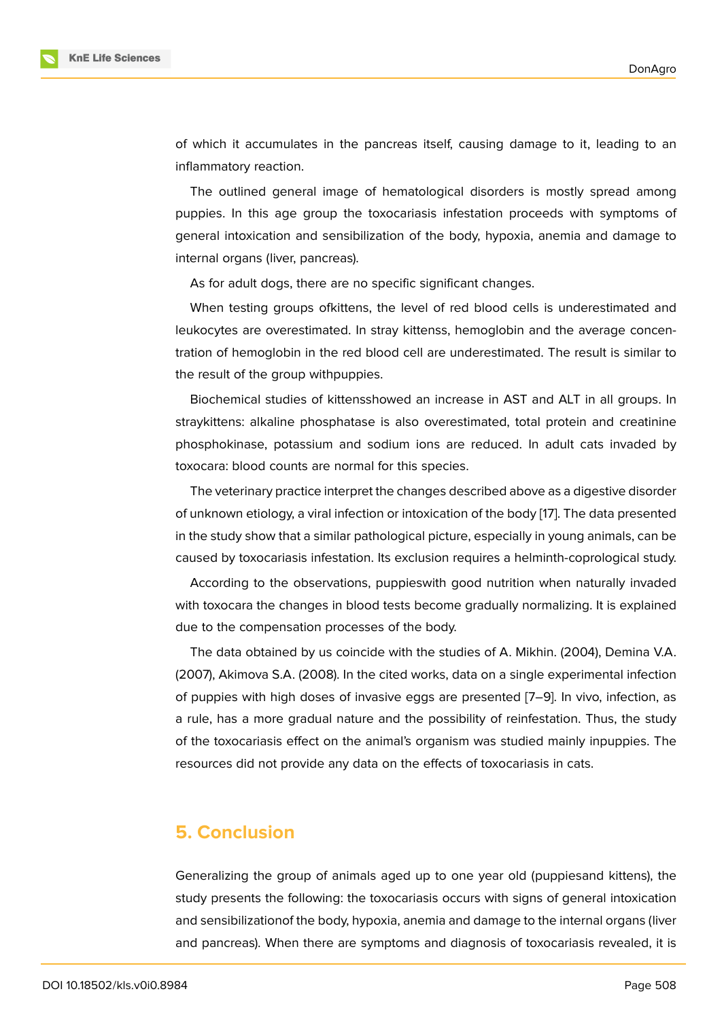of which it accumulates in the pancreas itself, causing damage to it, leading to an inflammatory reaction.

The outlined general image of hematological disorders is mostly spread among puppies. In this age group the toxocariasis infestation proceeds with symptoms of general intoxication and sensibilization of the body, hypoxia, anemia and damage to internal organs (liver, pancreas).

As for adult dogs, there are no specific significant changes.

When testing groups ofkittens, the level of red blood cells is underestimated and leukocytes are overestimated. In stray kittenss, hemoglobin and the average concentration of hemoglobin in the red blood cell are underestimated. The result is similar to the result of the group withpuppies.

Biochemical studies of kittensshowed an increase in AST and ALT in all groups. In straykittens: alkaline phosphatase is also overestimated, total protein and creatinine phosphokinase, potassium and sodium ions are reduced. In adult cats invaded by toxocara: blood counts are normal for this species.

The veterinary practice interpret the changes described above as a digestive disorder of unknown etiology, a viral infection or intoxication of the body [17]. The data presented in the study show that a similar pathological picture, especially in young animals, can be caused by toxocariasis infestation. Its exclusion requires a helminth-coprological study.

According to the observations, puppieswith good nutrition [wh](#page-9-2)en naturally invaded with toxocara the changes in blood tests become gradually normalizing. It is explained due to the compensation processes of the body.

The data obtained by us coincide with the studies of A. Mikhin. (2004), Demina V.A. (2007), Akimova S.A. (2008). In the cited works, data on a single experimental infection of puppies with high doses of invasive eggs are presented [7–9]. In vivo, infection, as a rule, has a more gradual nature and the possibility of reinfestation. Thus, the study of the toxocariasis effect on the animal's organism was studied mainly inpuppies. The resources did not provide any data on the effects of toxocariasis in cats.

## **5. Conclusion**

Generalizing the group of animals aged up to one year old (puppiesand kittens), the study presents the following: the toxocariasis occurs with signs of general intoxication and sensibilizationof the body, hypoxia, anemia and damage to the internal organs (liver and pancreas). When there are symptoms and diagnosis of toxocariasis revealed, it is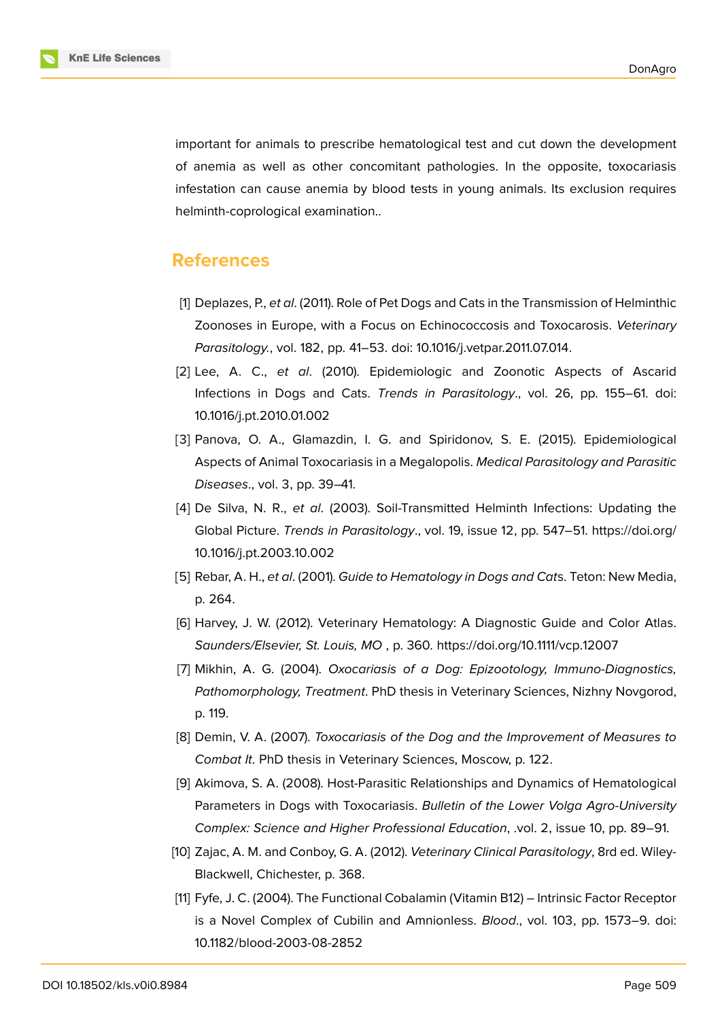important for animals to prescribe hematological test and cut down the development of anemia as well as other concomitant pathologies. In the opposite, toxocariasis infestation can cause anemia by blood tests in young animals. Its exclusion requires helminth-coprological examination..

### **References**

- [1] Deplazes, P., *et al*. (2011). Role of Pet Dogs and Cats in the Transmission of Helminthic Zoonoses in Europe, with a Focus on Echinococcosis and Toxocarosis. *Veterinary Parasitology.*, vol. 182, pp. 41–53. doi: 10.1016/j.vetpar.2011.07.014.
- <span id="page-8-0"></span>[2] Lee, A. C., *et al*. (2010). Epidemiologic and Zoonotic Aspects of Ascarid Infections in Dogs and Cats. *Trends in Parasitology*., vol. 26, pp. 155–61. doi: 10.1016/j.pt.2010.01.002
- [3] Panova, O. A., Glamazdin, I. G. and Spiridonov, S. E. (2015). Epidemiological Aspects of Animal Toxocariasis in a Megalopolis. *Medical Parasitology and Parasitic Diseases*., vol. 3, pp. 39–41.
- [4] De Silva, N. R., *et al*. (2003). Soil-Transmitted Helminth Infections: Updating the Global Picture. *Trends in Parasitology*., vol. 19, issue 12, pp. 547–51. https://doi.org/ 10.1016/j.pt.2003.10.002
- <span id="page-8-1"></span>[5] Rebar, A. H., *et al*. (2001). *Guide to Hematology in Dogs and Cat*s. Teton: New Media, p. 264.
- <span id="page-8-2"></span>[6] [Harvey, J. W. \(2012\). Vet](https://doi.org/10.1016/j.pt.2003.10.002)erinary Hematology: A Diagnostic Guide and Color Atlas. *Saunders/Elsevier, St. Louis, MO* , p. 360. https://doi.org/10.1111/vcp.12007
- <span id="page-8-3"></span>[7] Mikhin, A. G. (2004). *Oxocariasis of a Dog: Epizootology, Immuno-Diagnostics, Pathomorphology, Treatment*. PhD thesis in Veterinary Sciences, Nizhny Novgorod, p. 119.
- [8] Demin, V. A. (2007). *Toxocariasis of the Dog and the Improvement of Measures to Combat It*. PhD thesis in Veterinary Sciences, Moscow, p. 122.
- [9] Akimova, S. A. (2008). Host-Parasitic Relationships and Dynamics of Hematological Parameters in Dogs with Toxocariasis. *Bulletin of the Lower Volga Agro-University Complex: Science and Higher Professional Education*, .vol. 2, issue 10, pp. 89–91.
- [10] Zajac, A. M. and Conboy, G. A. (2012). *Veterinary Clinical Parasitology*, 8rd ed. Wiley-Blackwell, Chichester, p. 368.
- <span id="page-8-5"></span><span id="page-8-4"></span>[11] Fyfe, J. C. (2004). The Functional Cobalamin (Vitamin B12) – Intrinsic Factor Receptor is a Novel Complex of Cubilin and Amnionless. *Blood*., vol. 103, pp. 1573–9. doi: 10.1182/blood-2003-08-2852